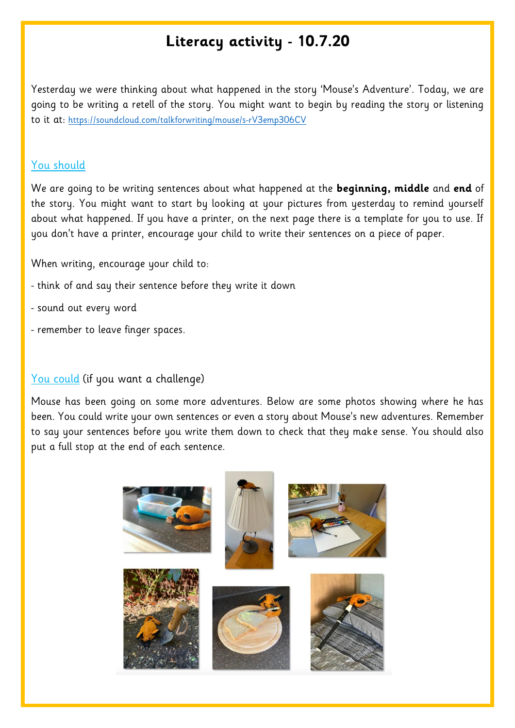## **Literacy activity - 10.7.20**

Yesterday we were thinking about what happened in the story 'Mouse's Adventure'. Today, we are going to be writing a retell of the story. You might want to begin by reading the story or listening to it at: <https://soundcloud.com/talkforwriting/mouse/s-rV3emp306CV>

## You should

We are going to be writing sentences about what happened at the **beginning, middle** and **end** of the story. You might want to start by looking at your pictures from yesterday to remind yourself about what happened. If you have a printer, on the next page there is a template for you to use. If you don't have a printer, encourage your child to write their sentences on a piece of paper.

When writing, encourage your child to:

- think of and say their sentence before they write it down
- sound out every word
- remember to leave finger spaces.

## You could (if you want a challenge)

Mouse has been going on some more adventures. Below are some photos showing where he has been. You could write your own sentences or even a story about Mouse's new adventures. Remember to say your sentences before you write them down to check that they make sense. You should also put a full stop at the end of each sentence.